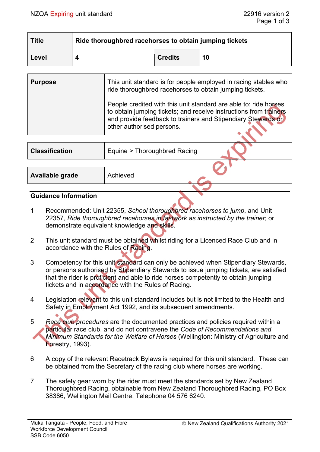| <b>Title</b> | Ride thoroughbred racehorses to obtain jumping tickets |                |    |  |
|--------------|--------------------------------------------------------|----------------|----|--|
| Level        |                                                        | <b>Credits</b> | 10 |  |

| <b>Purpose</b> | This unit standard is for people employed in racing stables who<br>ride thoroughbred racehorses to obtain jumping tickets.                                                                                                         |
|----------------|------------------------------------------------------------------------------------------------------------------------------------------------------------------------------------------------------------------------------------|
|                | People credited with this unit standard are able to: ride horses<br>to obtain jumping tickets; and receive instructions from trainers<br>and provide feedback to trainers and Stipendiary Stewards or<br>other authorised persons. |

| <b>Classification</b> | Equine > Thoroughbred Racing |
|-----------------------|------------------------------|
|                       |                              |
| Available grade       | Achieved                     |
|                       |                              |

#### **Guidance Information**

C  $\hat{\bullet}$ 

- 1 Recommended: Unit 22355, *School thoroughbred racehorses to jump*, and Unit 22357, *Ride thoroughbred racehorses in fastwork as instructed by the trainer*; or demonstrate equivalent knowledge and skills.
- 2 This unit standard must be obtained whilst riding for a Licenced Race Club and in accordance with the Rules of Racing.
- 3 Competency for this unit standard can only be achieved when Stipendiary Stewards, or persons authorised by Stipendiary Stewards to issue jumping tickets, are satisfied that the rider is proficient and able to ride horses competently to obtain jumping tickets and in accordance with the Rules of Racing.
- 4 Legislation relevant to this unit standard includes but is not limited to the Health and Safety in Employment Act 1992, and its subsequent amendments.
- 5 *Race club procedures* are the documented practices and policies required within a particular race club, and do not contravene the *Code of Recommendations and Minimum Standards for the Welfare of Horses* (Wellington: Ministry of Agriculture and Forestry, 1993).
- 6 A copy of the relevant Racetrack Bylaws is required for this unit standard. These can be obtained from the Secretary of the racing club where horses are working.
- 7 The safety gear worn by the rider must meet the standards set by New Zealand Thoroughbred Racing, obtainable from New Zealand Thoroughbred Racing, PO Box 38386, Wellington Mail Centre, Telephone 04 576 6240.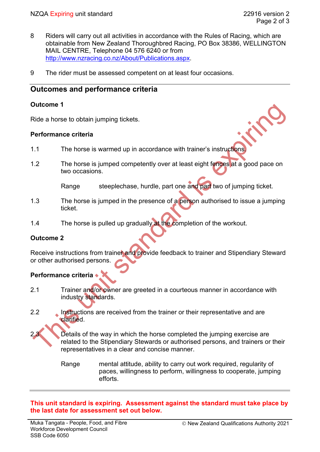in C.

- 8 Riders will carry out all activities in accordance with the Rules of Racing, which are obtainable from New Zealand Thoroughbred Racing, PO Box 38386, WELLINGTON MAIL CENTRE, Telephone 04 576 6240 or from [http://www.nzracing.co.nz/About/Publications.aspx.](http://www.nzracing.co.nz/About/Publications.aspx)
- 9 The rider must be assessed competent on at least four occasions.

# **Outcomes and performance criteria**

#### **Outcome 1**

Ride a horse to obtain jumping tickets.

#### **Performance criteria**

- 1.1 The horse is warmed up in accordance with trainer's instructions.
- 1.2 The horse is jumped competently over at least eight fences at a good pace on two occasions.

Range steeplechase, hurdle, part one and part two of jumping ticket.

- 1.3 The horse is jumped in the presence of a person authorised to issue a jumping ticket.
- 1.4 The horse is pulled up gradually at the completion of the workout.

## **Outcome 2**

Receive instructions from trainer and provide feedback to trainer and Stipendiary Steward or other authorised persons.

# **Performance criteria**

- 2.1 Trainer and/or owner are greeted in a courteous manner in accordance with industry standards.
- 2.2 Instructions are received from the trainer or their representative and are clarified.

Details of the way in which the horse completed the jumping exercise are related to the Stipendiary Stewards or authorised persons, and trainers or their representatives in a clear and concise manner.

Range mental attitude, ability to carry out work required, regularity of paces, willingness to perform, willingness to cooperate, jumping efforts.

**This unit standard is expiring. Assessment against the standard must take place by the last date for assessment set out below.**